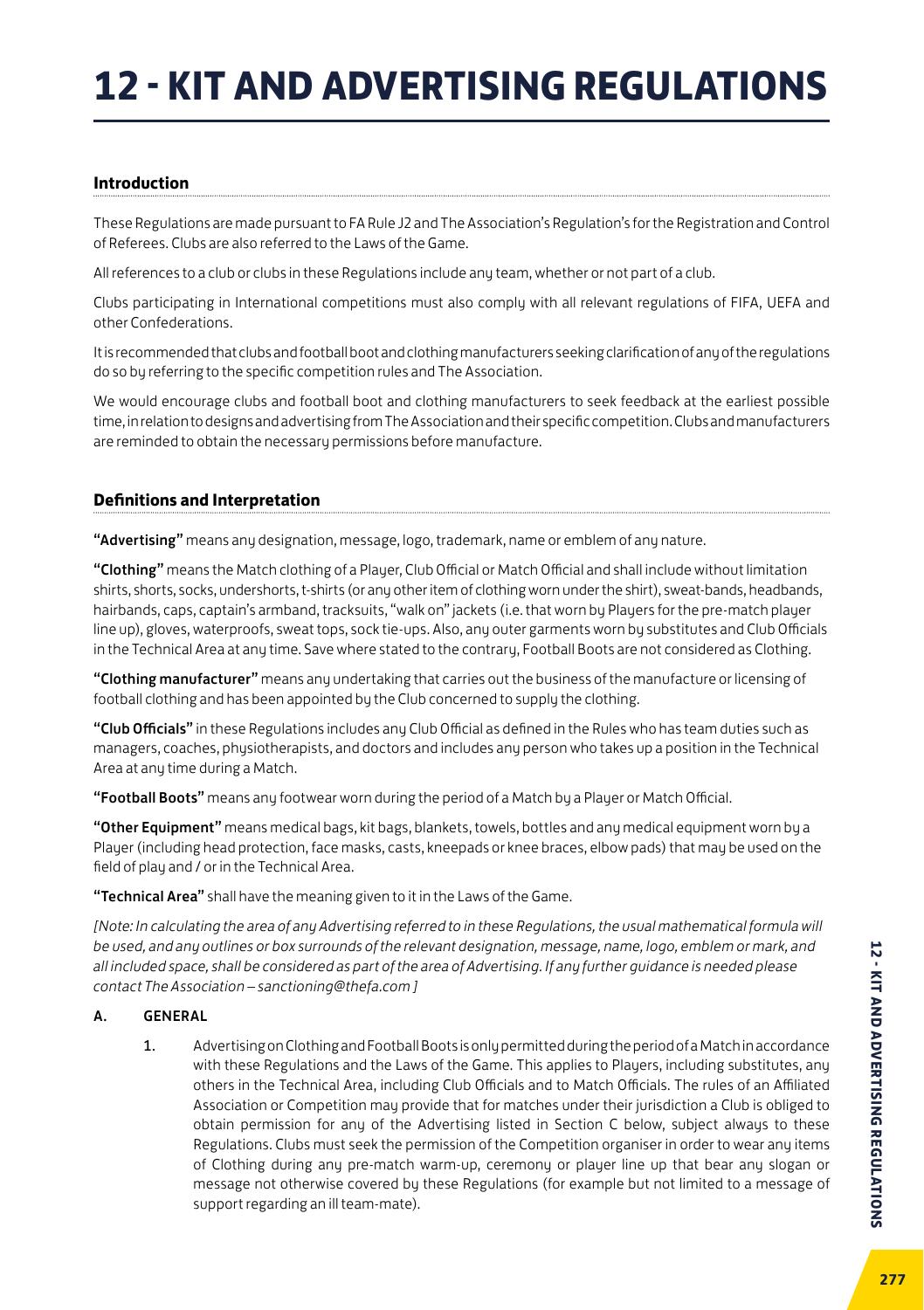#### **Introduction**

These Regulations are made pursuant to FA Rule J2 and The Association's Regulation's for the Registration and Control of Referees. Clubs are also referred to the Laws of the Game.

All references to a club or clubs in these Regulations include any team, whether or not part of a club.

Clubs participating in International competitions must also comply with all relevant regulations of FIFA, UEFA and other Confederations.

It is recommended that clubs and football boot and clothing manufacturers seeking clarification of any of the regulations do so by referring to the specific competition rules and The Association.

We would encourage clubs and football boot and clothing manufacturers to seek feedback at the earliest possible time, in relation to designs and advertising from The Association and their specific competition. Clubs and manufacturers are reminded to obtain the necessary permissions before manufacture.

#### **Definitions and Interpretation**

"Advertising" means any designation, message, logo, trademark, name or emblem of any nature.

"Clothing" means the Match clothing of a Player, Club Official or Match Official and shall include without limitation shirts, shorts, socks, undershorts, t-shirts (or any other item of clothing worn under the shirt), sweat-bands, headbands, hairbands, caps, captain's armband, tracksuits, "walk on" jackets (i.e. that worn by Players for the pre-match player line up), gloves, waterproofs, sweat tops, sock tie-ups. Also, any outer garments worn by substitutes and Club Officials in the Technical Area at any time. Save where stated to the contrary, Football Boots are not considered as Clothing.

"Clothing manufacturer" means any undertaking that carries out the business of the manufacture or licensing of football clothing and has been appointed by the Club concerned to supply the clothing.

"Club Officials" in these Regulations includes any Club Official as defined in the Rules who has team duties such as managers, coaches, physiotherapists, and doctors and includes any person who takes up a position in the Technical Area at any time during a Match.

"Football Boots" means any footwear worn during the period of a Match by a Player or Match Official.

"Other Equipment" means medical bags, kit bags, blankets, towels, bottles and any medical equipment worn by a Player (including head protection, face masks, casts, kneepads or knee braces, elbow pads) that may be used on the field of play and / or in the Technical Area.

"Technical Area" shall have the meaning given to it in the Laws of the Game.

*[Note: In calculating the area of any Advertising referred to in these Regulations, the usual mathematical formula will be used, and any outlines or box surrounds of the relevant designation, message, name, logo, emblem or mark, and all included space, shall be considered as part of the area of Advertising. If any further guidance is needed please contact The Association – sanctioning@thefa.com ]*

#### A. GENERAL

1. Advertising on Clothing and Football Boots is only permitted during the period of a Match in accordance with these Regulations and the Laws of the Game. This applies to Players, including substitutes, any others in the Technical Area, including Club Officials and to Match Officials. The rules of an Affiliated Association or Competition may provide that for matches under their jurisdiction a Club is obliged to obtain permission for any of the Advertising listed in Section C below, subject always to these Regulations. Clubs must seek the permission of the Competition organiser in order to wear any items of Clothing during any pre-match warm-up, ceremony or player line up that bear any slogan or message not otherwise covered by these Regulations (for example but not limited to a message of support regarding an ill team-mate).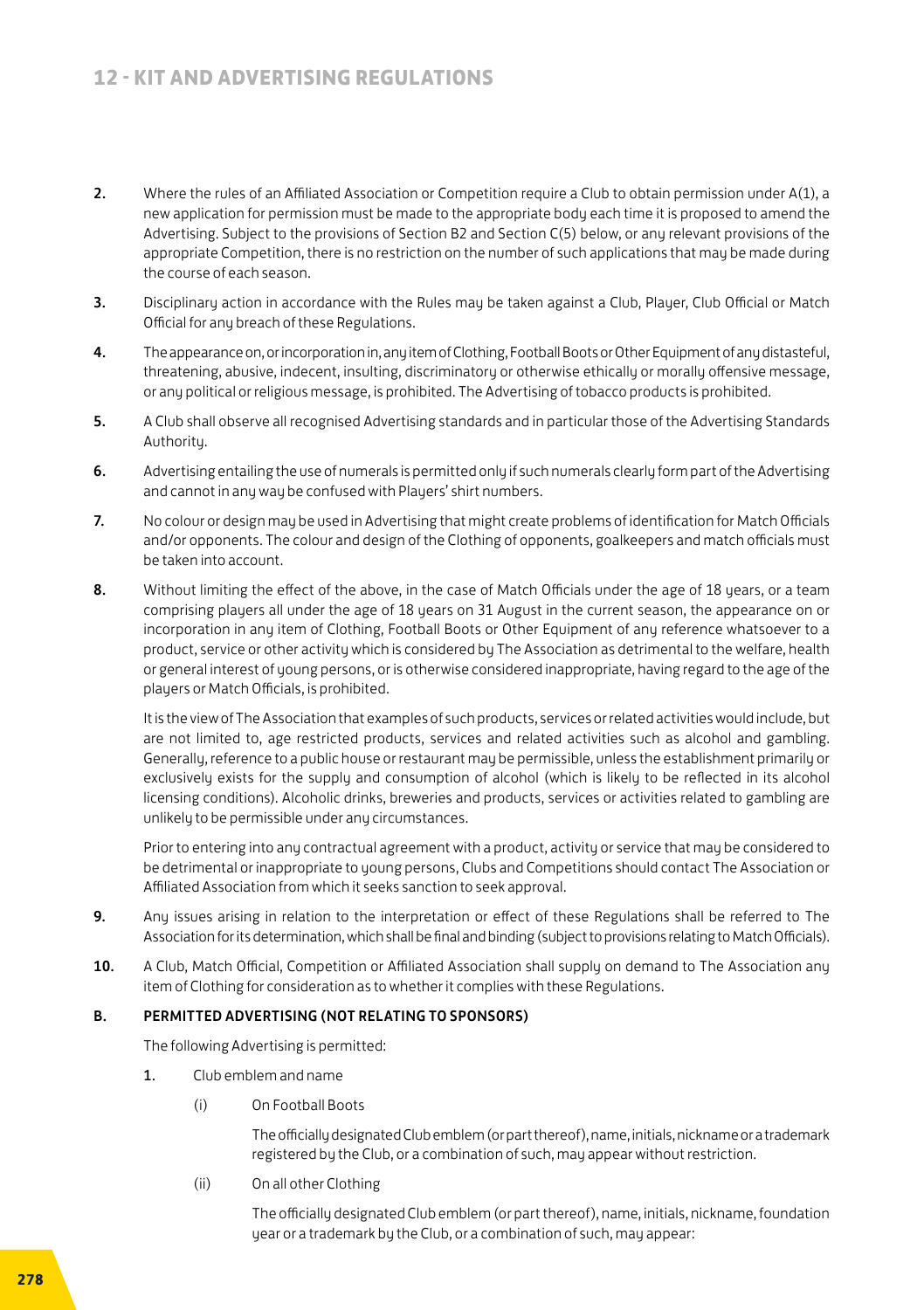- 2. Where the rules of an Affiliated Association or Competition require a Club to obtain permission under A(1), a new application for permission must be made to the appropriate body each time it is proposed to amend the Advertising. Subject to the provisions of Section B2 and Section C(5) below, or any relevant provisions of the appropriate Competition, there is no restriction on the number of such applications that may be made during the course of each season.
- 3. Disciplinary action in accordance with the Rules may be taken against a Club, Player, Club Official or Match Official for any breach of these Regulations.
- 4. The appearance on, or incorporation in, any item of Clothing, Football Boots or Other Equipment of any distasteful, threatening, abusive, indecent, insulting, discriminatory or otherwise ethically or morally offensive message, or any political or religious message, is prohibited. The Advertising of tobacco products is prohibited.
- 5. A Club shall observe all recognised Advertising standards and in particular those of the Advertising Standards Authority.
- 6. Advertising entailing the use of numerals is permitted only if such numerals clearly form part of the Advertising and cannot in any way be confused with Players' shirt numbers.
- 7. No colour or design may be used in Advertising that might create problems of identification for Match Officials and/or opponents. The colour and design of the Clothing of opponents, goalkeepers and match officials must be taken into account.
- 8. Without limiting the effect of the above, in the case of Match Officials under the age of 18 years, or a team comprising players all under the age of 18 years on 31 August in the current season, the appearance on or incorporation in any item of Clothing, Football Boots or Other Equipment of any reference whatsoever to a product, service or other activity which is considered by The Association as detrimental to the welfare, health or general interest of young persons, or is otherwise considered inappropriate, having regard to the age of the players or Match Officials, is prohibited.

It is the view of The Association that examples of such products, services or related activities would include, but are not limited to, age restricted products, services and related activities such as alcohol and gambling. Generally, reference to a public house or restaurant may be permissible, unless the establishment primarily or exclusively exists for the supply and consumption of alcohol (which is likely to be reflected in its alcohol licensing conditions). Alcoholic drinks, breweries and products, services or activities related to gambling are unlikely to be permissible under any circumstances.

Prior to entering into any contractual agreement with a product, activity or service that may be considered to be detrimental or inappropriate to young persons, Clubs and Competitions should contact The Association or Affiliated Association from which it seeks sanction to seek approval.

- 9. Any issues arising in relation to the interpretation or effect of these Regulations shall be referred to The Association for its determination, which shall be final and binding (subject to provisions relating to Match Officials).
- 10. A Club, Match Official, Competition or Affiliated Association shall supply on demand to The Association any item of Clothing for consideration as to whether it complies with these Regulations.

#### B. PERMITTED ADVERTISING (NOT RELATING TO SPONSORS)

The following Advertising is permitted:

- 1. Club emblem and name
	- (i) On Football Boots

 The officially designated Club emblem (or part thereof), name, initials, nickname or a trademark registered by the Club, or a combination of such, may appear without restriction.

(ii) On all other Clothing

 The officially designated Club emblem (or part thereof), name, initials, nickname, foundation year or a trademark by the Club, or a combination of such, may appear: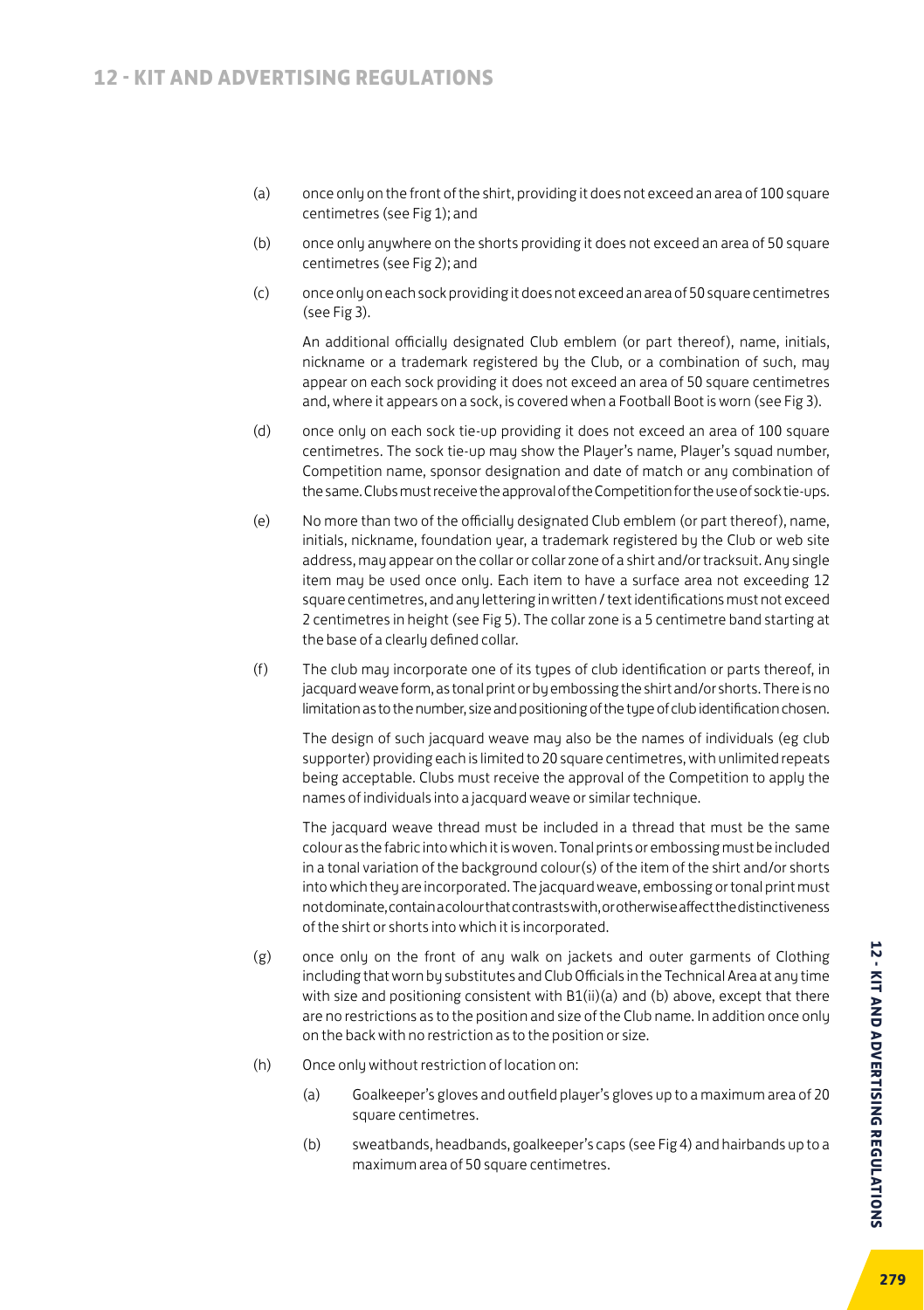- (a) once only on the front of the shirt, providing it does not exceed an area of 100 square centimetres (see Fig 1); and
- (b) once only anywhere on the shorts providing it does not exceed an area of 50 square centimetres (see Fig 2); and
- (c) once only on each sock providing it does not exceed an area of 50 square centimetres (see Fig 3).

An additional officially designated Club emblem (or part thereof), name, initials, nickname or a trademark registered by the Club, or a combination of such, may appear on each sock providing it does not exceed an area of 50 square centimetres and, where it appears on a sock, is covered when a Football Boot is worn (see Fig 3).

- (d) once only on each sock tie-up providing it does not exceed an area of 100 square centimetres. The sock tie-up may show the Player's name, Player's squad number, Competition name, sponsor designation and date of match or any combination of the same. Clubs must receive the approval of the Competition for the use of sock tie-ups.
- (e) No more than two of the officially designated Club emblem (or part thereof), name, initials, nickname, foundation year, a trademark registered by the Club or web site address, may appear on the collar or collar zone of a shirt and/or tracksuit. Any single item may be used once only. Each item to have a surface area not exceeding 12 square centimetres, and any lettering in written / text identifications must not exceed 2 centimetres in height (see Fig 5). The collar zone is a 5 centimetre band starting at the base of a clearly defined collar.
- (f) The club may incorporate one of its types of club identification or parts thereof, in jacquard weave form, as tonal print or by embossing the shirt and/or shorts. There is no limitation as to the number, size and positioning of the type of club identification chosen.

The design of such jacquard weave may also be the names of individuals (eg club supporter) providing each is limited to 20 square centimetres, with unlimited repeats being acceptable. Clubs must receive the approval of the Competition to apply the names of individuals into a jacquard weave or similar technique.

The jacquard weave thread must be included in a thread that must be the same colour as the fabric into which it is woven. Tonal prints or embossing must be included in a tonal variation of the background colour(s) of the item of the shirt and/or shorts into which they are incorporated. The jacquard weave, embossing or tonal print must not dominate, contain a colour that contrasts with, or otherwise affect the distinctiveness of the shirt or shorts into which it is incorporated.

- (g) once only on the front of any walk on jackets and outer garments of Clothing including that worn by substitutes and Club Officials in the Technical Area at any time with size and positioning consistent with B1(ii)(a) and (b) above, except that there are no restrictions as to the position and size of the Club name. In addition once only on the back with no restriction as to the position or size.
- (h) Once only without restriction of location on:
	- (a) Goalkeeper's gloves and outfield player's gloves up to a maximum area of 20 square centimetres.
	- (b) sweatbands, headbands, goalkeeper's caps (see Fig 4) and hairbands up to a maximum area of 50 square centimetres.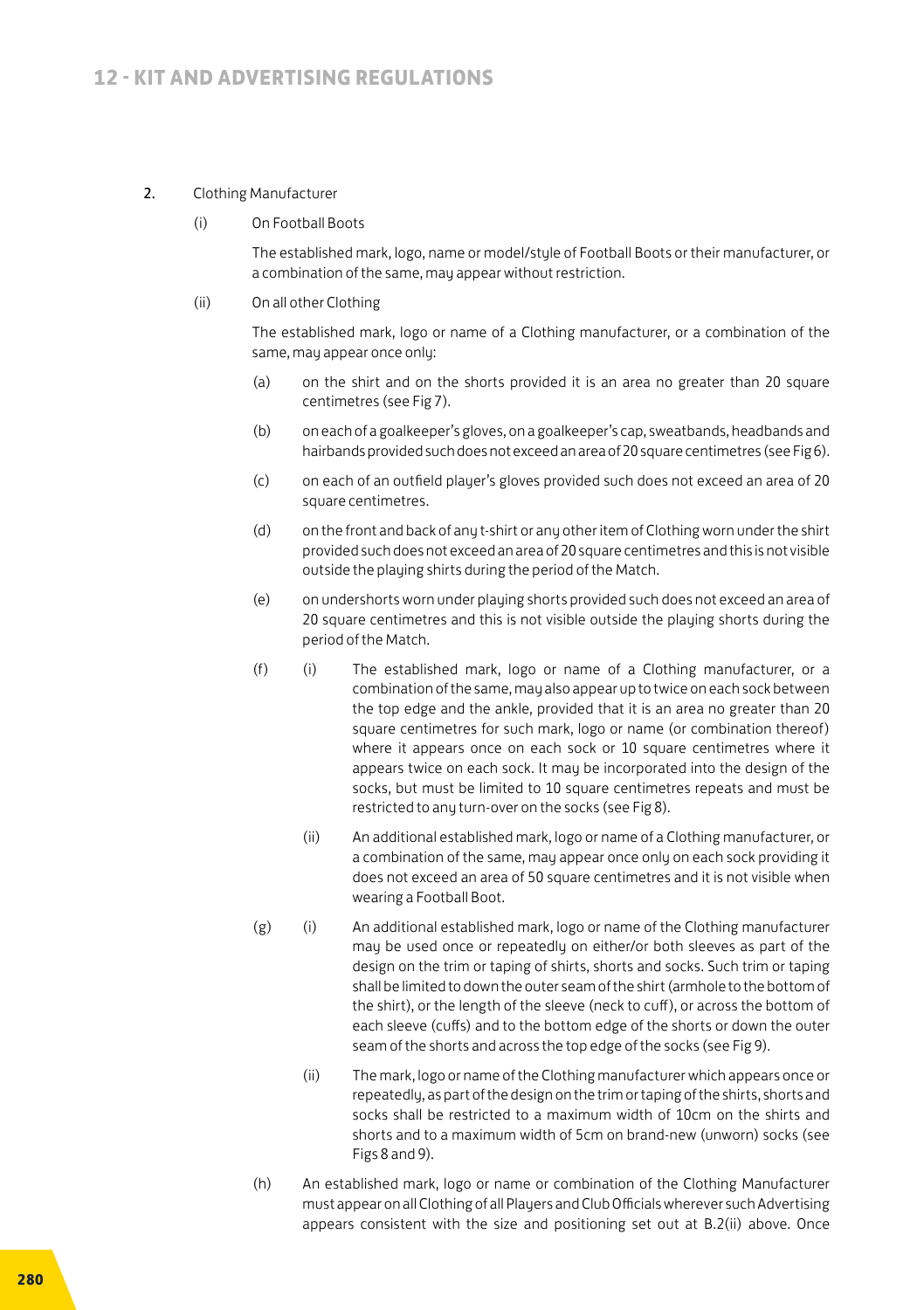#### 2. Clothing Manufacturer

(i) On Football Boots

 The established mark, logo, name or model/style of Football Boots or their manufacturer, or a combination of the same, may appear without restriction.

(ii) On all other Clothing

 The established mark, logo or name of a Clothing manufacturer, or a combination of the same, may appear once only:

- (a) on the shirt and on the shorts provided it is an area no greater than 20 square centimetres (see Fig 7).
- (b) on each of a goalkeeper's gloves, on a goalkeeper's cap, sweatbands, headbands and hairbands provided such does not exceed an area of 20 square centimetres (see Fig 6).
- (c) on each of an outfield player's gloves provided such does not exceed an area of 20 square centimetres.
- (d) on the front and back of any t-shirt or any other item of Clothing worn under the shirt provided such does not exceed an area of 20 square centimetres and this is not visible outside the playing shirts during the period of the Match.
- (e) on undershorts worn under playing shorts provided such does not exceed an area of 20 square centimetres and this is not visible outside the playing shorts during the period of the Match.
- (f) (i) The established mark, logo or name of a Clothing manufacturer, or a combination of the same, may also appear up to twice on each sock between the top edge and the ankle, provided that it is an area no greater than 20 square centimetres for such mark, logo or name (or combination thereof) where it appears once on each sock or 10 square centimetres where it appears twice on each sock. It may be incorporated into the design of the socks, but must be limited to 10 square centimetres repeats and must be restricted to any turn-over on the socks (see Fig 8).
	- (ii) An additional established mark, logo or name of a Clothing manufacturer, or a combination of the same, may appear once only on each sock providing it does not exceed an area of 50 square centimetres and it is not visible when wearing a Football Boot.
- (g) (i) An additional established mark, logo or name of the Clothing manufacturer may be used once or repeatedly on either/or both sleeves as part of the design on the trim or taping of shirts, shorts and socks. Such trim or taping shall be limited to down the outer seam of the shirt (armhole to the bottom of the shirt), or the length of the sleeve (neck to cuff), or across the bottom of each sleeve (cuffs) and to the bottom edge of the shorts or down the outer seam of the shorts and across the top edge of the socks (see Fig 9).
	- (ii) The mark, logo or name of the Clothing manufacturer which appears once or repeatedly, as part of the design on the trim or taping of the shirts, shorts and socks shall be restricted to a maximum width of 10cm on the shirts and shorts and to a maximum width of 5cm on brand-new (unworn) socks (see Figs 8 and 9).
- (h) An established mark, logo or name or combination of the Clothing Manufacturer must appear on all Clothing of all Players and Club Officials wherever such Advertising appears consistent with the size and positioning set out at B.2(ii) above. Once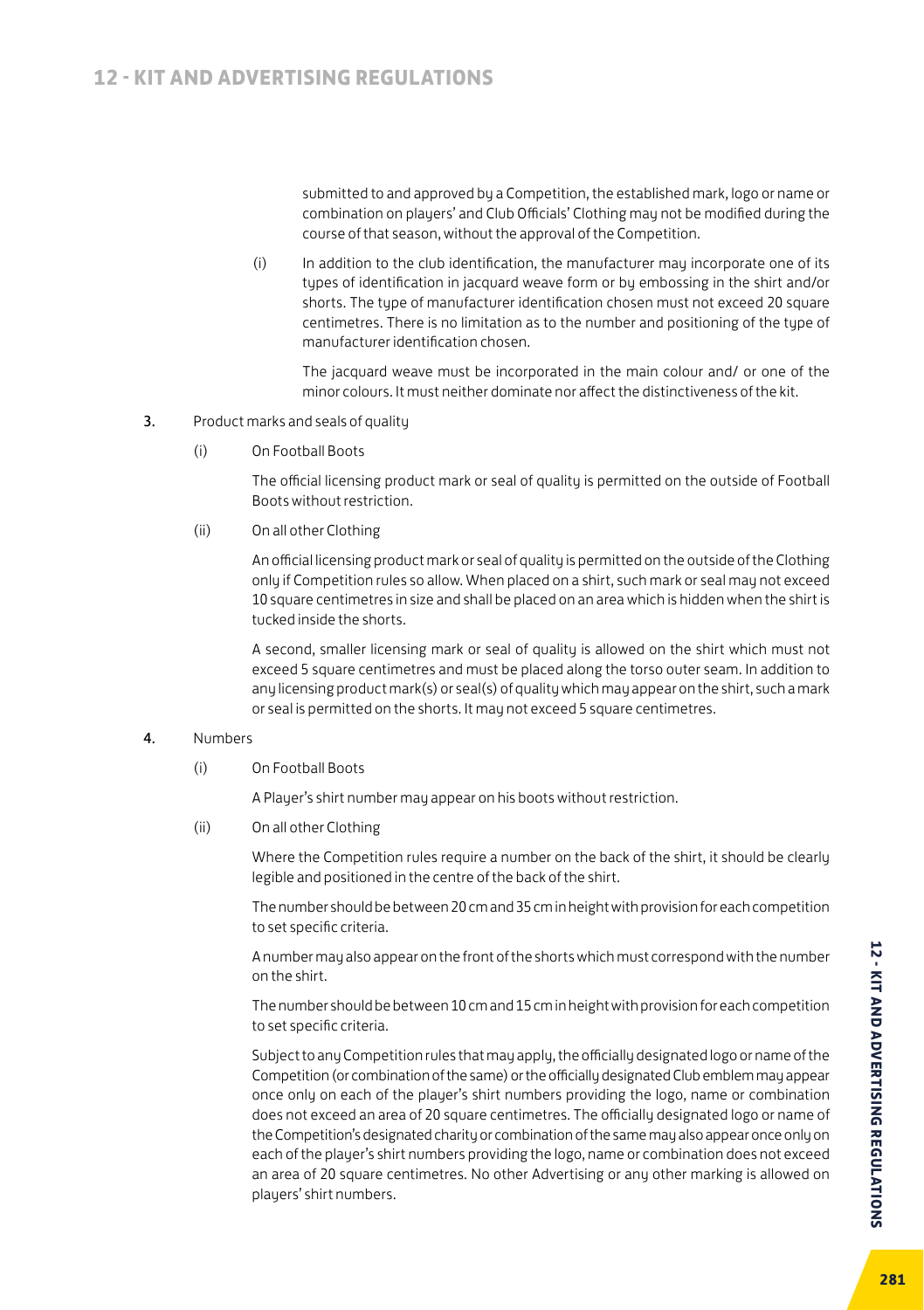submitted to and approved by a Competition, the established mark, logo or name or combination on players' and Club Officials' Clothing may not be modified during the course of that season, without the approval of the Competition.

(i) In addition to the club identification, the manufacturer may incorporate one of its types of identification in jacquard weave form or by embossing in the shirt and/or shorts. The type of manufacturer identification chosen must not exceed 20 square centimetres. There is no limitation as to the number and positioning of the tupe of manufacturer identification chosen.

The jacquard weave must be incorporated in the main colour and/ or one of the minor colours. It must neither dominate nor affect the distinctiveness of the kit.

- 3. Product marks and seals of quality
	- (i) On Football Boots

 The official licensing product mark or seal of quality is permitted on the outside of Football Boots without restriction.

(ii) On all other Clothing

 An official licensing product mark or seal of quality is permitted on the outside of the Clothing only if Competition rules so allow. When placed on a shirt, such mark or seal may not exceed 10 square centimetres in size and shall be placed on an area which is hidden when the shirt is tucked inside the shorts.

 A second, smaller licensing mark or seal of quality is allowed on the shirt which must not exceed 5 square centimetres and must be placed along the torso outer seam. In addition to any licensing product mark(s) or seal(s) of quality which may appear on the shirt, such a mark or seal is permitted on the shorts. It may not exceed 5 square centimetres.

#### 4. Numbers

(i) On Football Boots

A Player's shirt number may appear on his boots without restriction.

(ii) On all other Clothing

 Where the Competition rules require a number on the back of the shirt, it should be clearly legible and positioned in the centre of the back of the shirt.

 The number should be between 20 cm and 35 cm in height with provision for each competition to set specific criteria.

 A number may also appear on the front of the shorts which must correspond with the number on the shirt.

 The number should be between 10 cm and 15 cm in height with provision for each competition to set specific criteria.

 Subject to any Competition rules that may apply, the officially designated logo or name of the Competition (or combination of the same) or the officially designated Club emblem may appear once only on each of the player's shirt numbers providing the logo, name or combination does not exceed an area of 20 square centimetres. The officially designated logo or name of the Competition's designated charity or combination of the same may also appear once only on each of the player's shirt numbers providing the logo, name or combination does not exceed an area of 20 square centimetres. No other Advertising or any other marking is allowed on players' shirt numbers.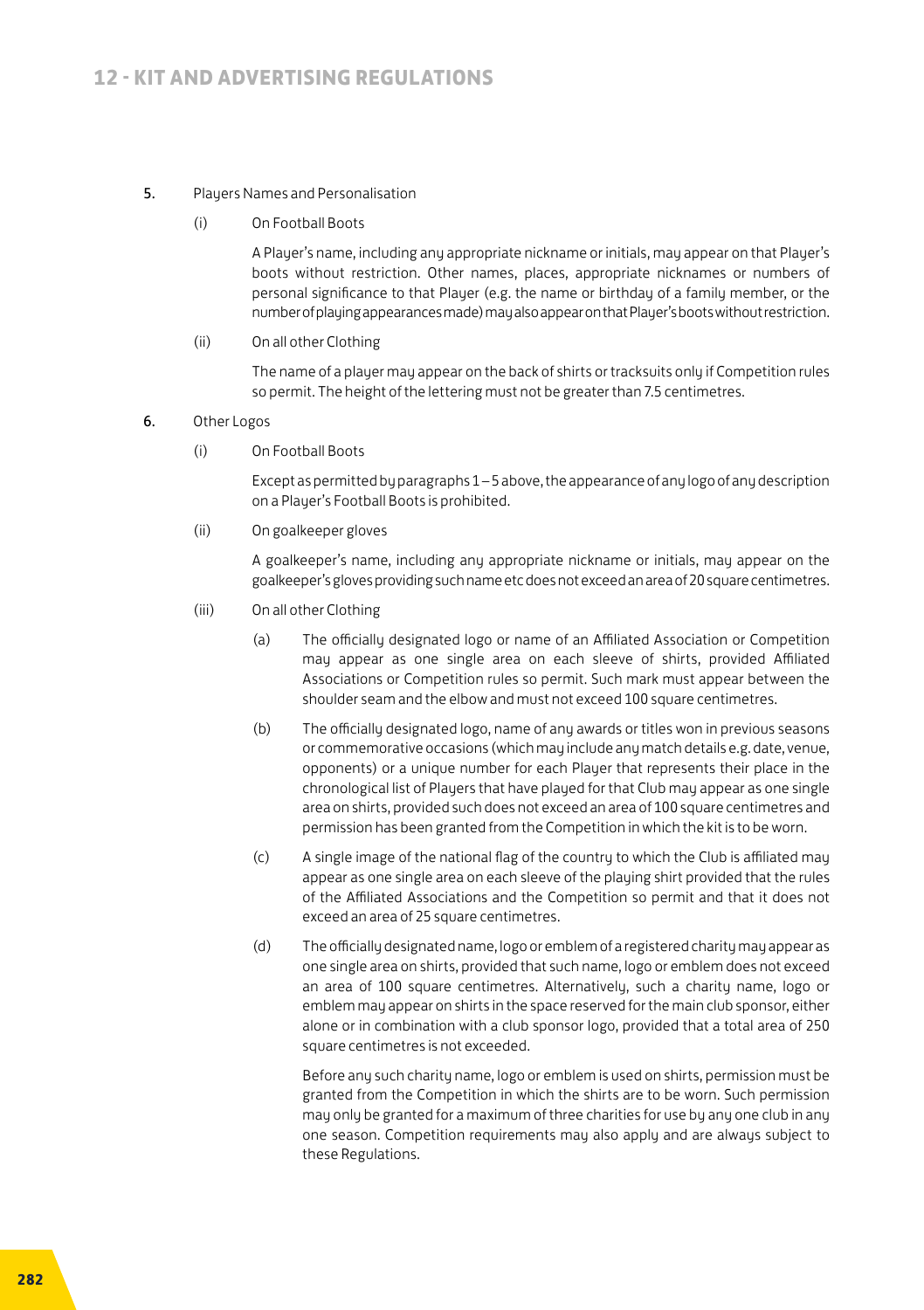#### 5. Players Names and Personalisation

(i) On Football Boots

 A Player's name, including any appropriate nickname or initials, may appear on that Player's boots without restriction. Other names, places, appropriate nicknames or numbers of personal significance to that Player (e.g. the name or birthday of a family member, or the number of playing appearances made) may also appear on that Player's boots without restriction.

(ii) On all other Clothing

 The name of a player may appear on the back of shirts or tracksuits only if Competition rules so permit. The height of the lettering must not be greater than 7.5 centimetres.

- 6. Other Logos
	- (i) On Football Boots

 Except as permitted by paragraphs 1 – 5 above, the appearance of any logo of any description on a Player's Football Boots is prohibited.

(ii) On goalkeeper gloves

 A goalkeeper's name, including any appropriate nickname or initials, may appear on the goalkeeper's gloves providing such name etc does not exceed an area of 20 square centimetres.

- (iii) On all other Clothing
	- (a) The officially designated logo or name of an Affiliated Association or Competition may appear as one single area on each sleeve of shirts, provided Affiliated Associations or Competition rules so permit. Such mark must appear between the shoulder seam and the elbow and must not exceed 100 square centimetres.
	- (b) The officially designated logo, name of any awards or titles won in previous seasons or commemorative occasions (which may include any match details e.g. date, venue, opponents) or a unique number for each Player that represents their place in the chronological list of Players that have played for that Club may appear as one single area on shirts, provided such does not exceed an area of 100 square centimetres and permission has been granted from the Competition in which the kit is to be worn.
	- (c) A single image of the national flag of the country to which the Club is affiliated may appear as one single area on each sleeve of the playing shirt provided that the rules of the Affiliated Associations and the Competition so permit and that it does not exceed an area of 25 square centimetres.
	- (d) The officially designated name, logo or emblem of a registered charity may appear as one single area on shirts, provided that such name, logo or emblem does not exceed an area of 100 square centimetres. Alternatively, such a charity name, logo or emblem may appear on shirts in the space reserved for the main club sponsor, either alone or in combination with a club sponsor logo, provided that a total area of 250 square centimetres is not exceeded.

Before any such charity name, logo or emblem is used on shirts, permission must be granted from the Competition in which the shirts are to be worn. Such permission may only be granted for a maximum of three charities for use by any one club in any one season. Competition requirements may also apply and are always subject to these Regulations.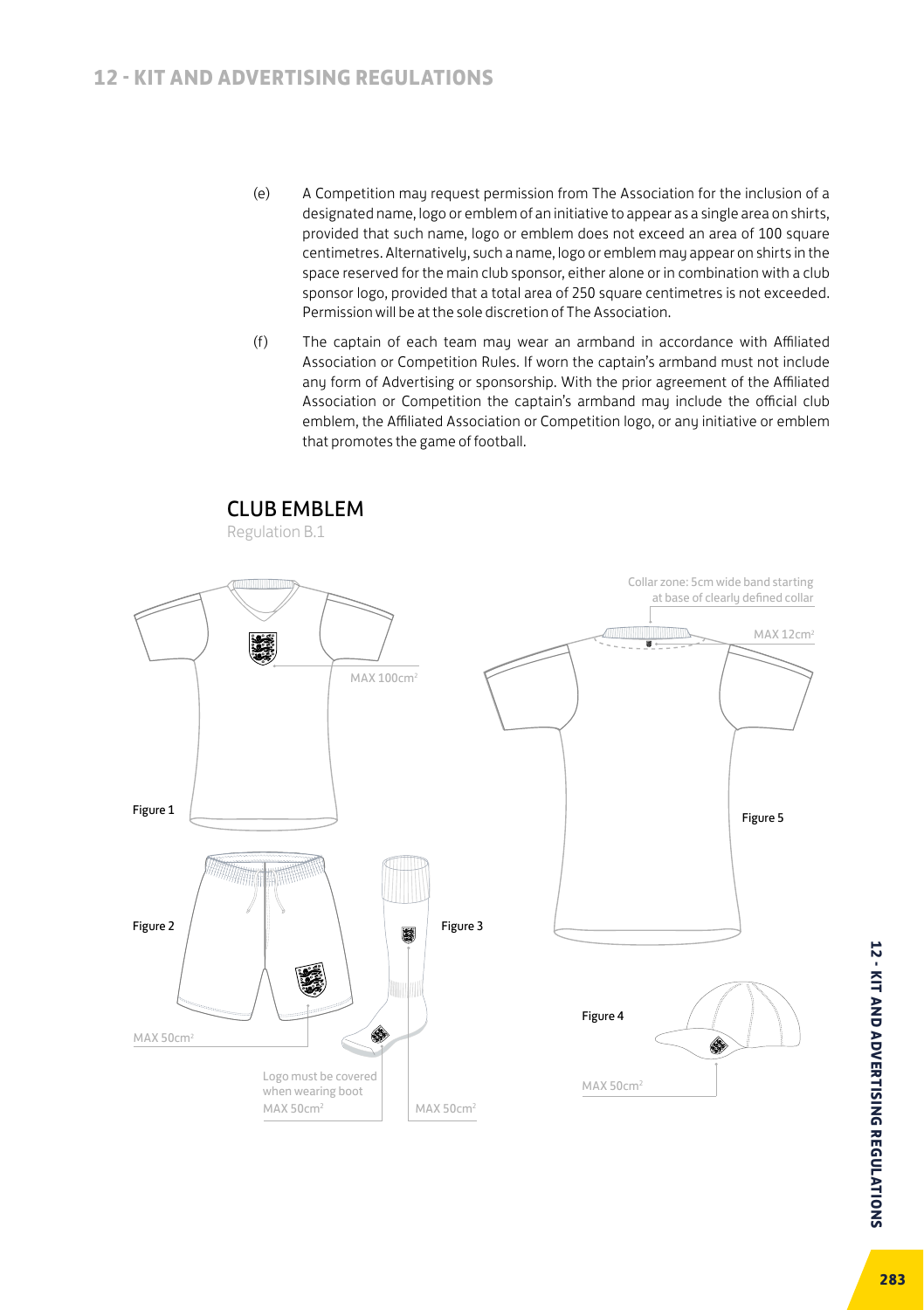- (e) A Competition may request permission from The Association for the inclusion of a designated name, logo or emblem of an initiative to appear as a single area on shirts, provided that such name, logo or emblem does not exceed an area of 100 square centimetres. Alternatively, such a name, logo or emblem may appear on shirts in the space reserved for the main club sponsor, either alone or in combination with a club sponsor logo, provided that a total area of 250 square centimetres is not exceeded. Permission will be at the sole discretion of The Association.
- (f) The captain of each team may wear an armband in accordance with Affiliated Association or Competition Rules. If worn the captain's armband must not include any form of Advertising or sponsorship. With the prior agreement of the Affiliated Association or Competition the captain's armband may include the official club emblem, the Affiliated Association or Competition logo, or any initiative or emblem that promotes the game of football.



**12 - KIT AND ADVERTISING REGULATIONS 283 12 - KIT AND ADVERTISING REGULATIONS**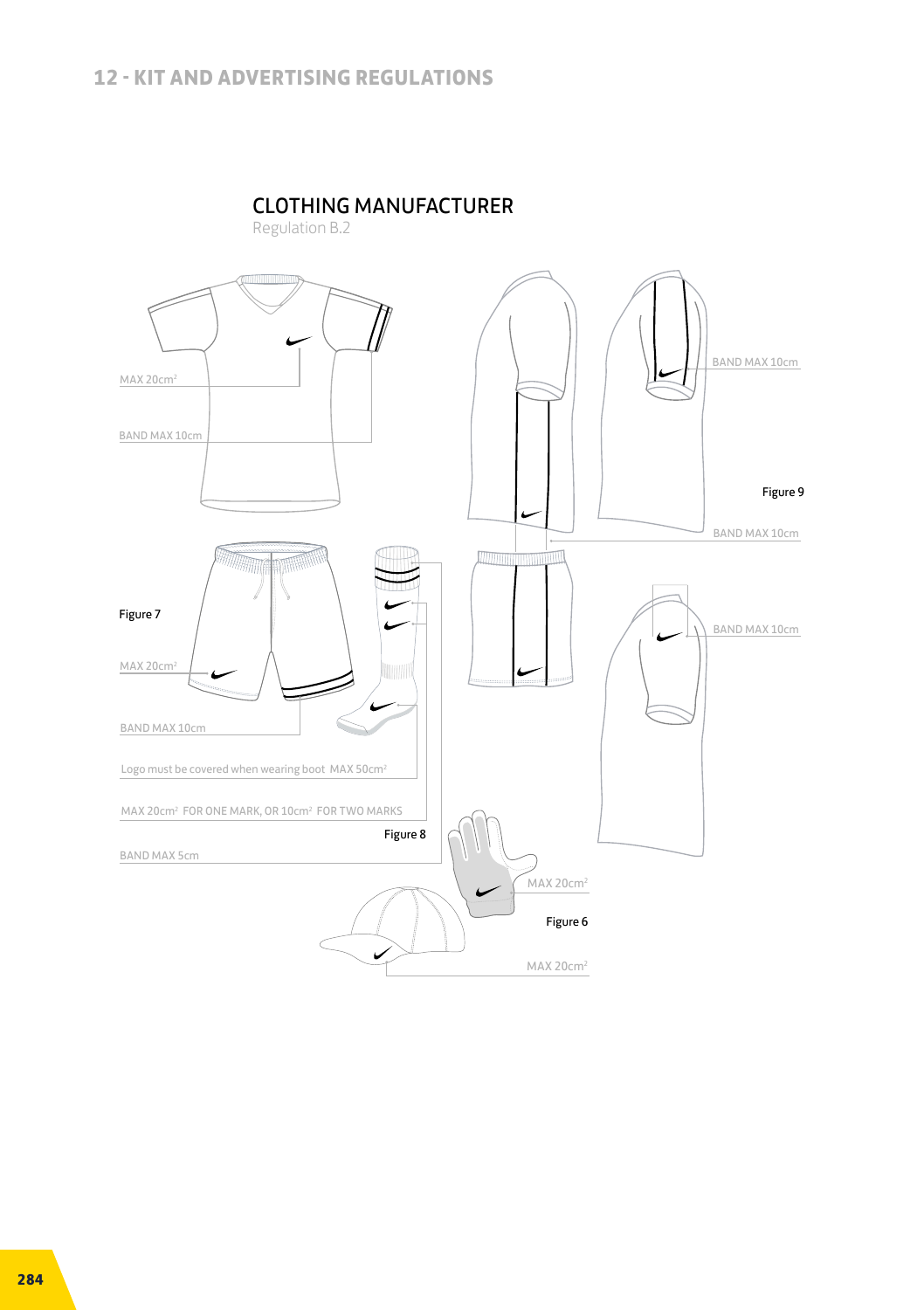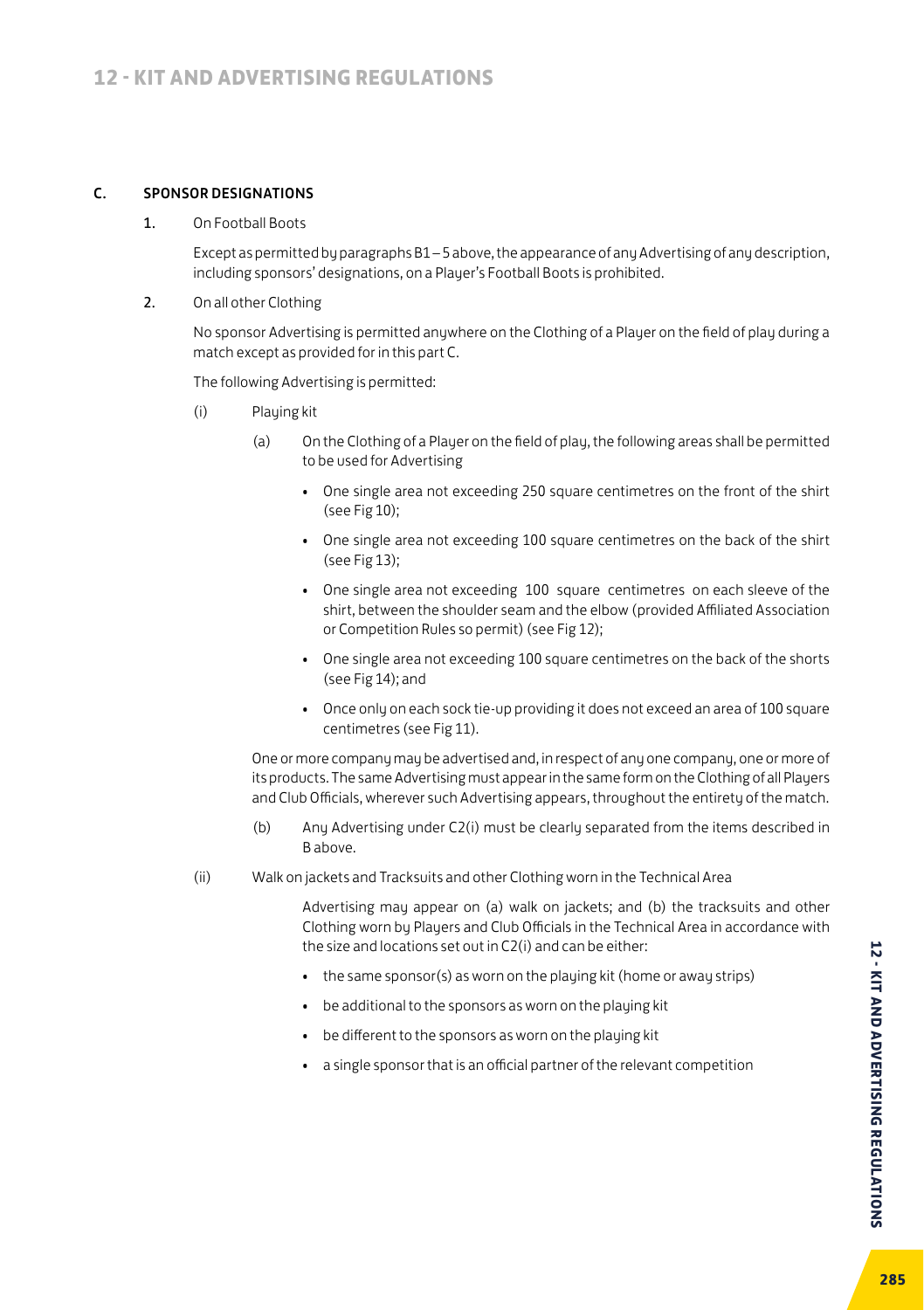#### C. SPONSOR DESIGNATIONS

1. On Football Boots

Except as permitted by paragraphs B1 – 5 above, the appearance of any Advertising of any description, including sponsors' designations, on a Player's Football Boots is prohibited.

2. On all other Clothing

No sponsor Advertising is permitted anywhere on the Clothing of a Player on the field of play during a match except as provided for in this part C.

The following Advertising is permitted:

- (i) Playing kit
	- (a) On the Clothing of a Player on the field of play, the following areas shall be permitted to be used for Advertising
		- One single area not exceeding 250 square centimetres on the front of the shirt (see Fig 10);
		- One single area not exceeding 100 square centimetres on the back of the shirt (see Fig 13);
		- One single area not exceeding 100 square centimetres on each sleeve of the shirt, between the shoulder seam and the elbow (provided Affiliated Association or Competition Rules so permit) (see Fig 12);
		- One single area not exceeding 100 square centimetres on the back of the shorts (see Fig 14); and
		- Once only on each sock tie-up providing it does not exceed an area of 100 square centimetres (see Fig 11).

 One or more company may be advertised and, in respect of any one company, one or more of its products. The same Advertising must appear in the same form on the Clothing of all Players and Club Officials, wherever such Advertising appears, throughout the entirety of the match.

- (b) Any Advertising under C2(i) must be clearly separated from the items described in B above.
- (ii) Walk on jackets and Tracksuits and other Clothing worn in the Technical Area

Advertising may appear on (a) walk on jackets; and (b) the tracksuits and other Clothing worn by Players and Club Officials in the Technical Area in accordance with the size and locations set out in C2(i) and can be either:

- the same sponsor(s) as worn on the playing kit (home or away strips)
- be additional to the sponsors as worn on the playing kit
- be different to the sponsors as worn on the playing kit
- a single sponsor that is an official partner of the relevant competition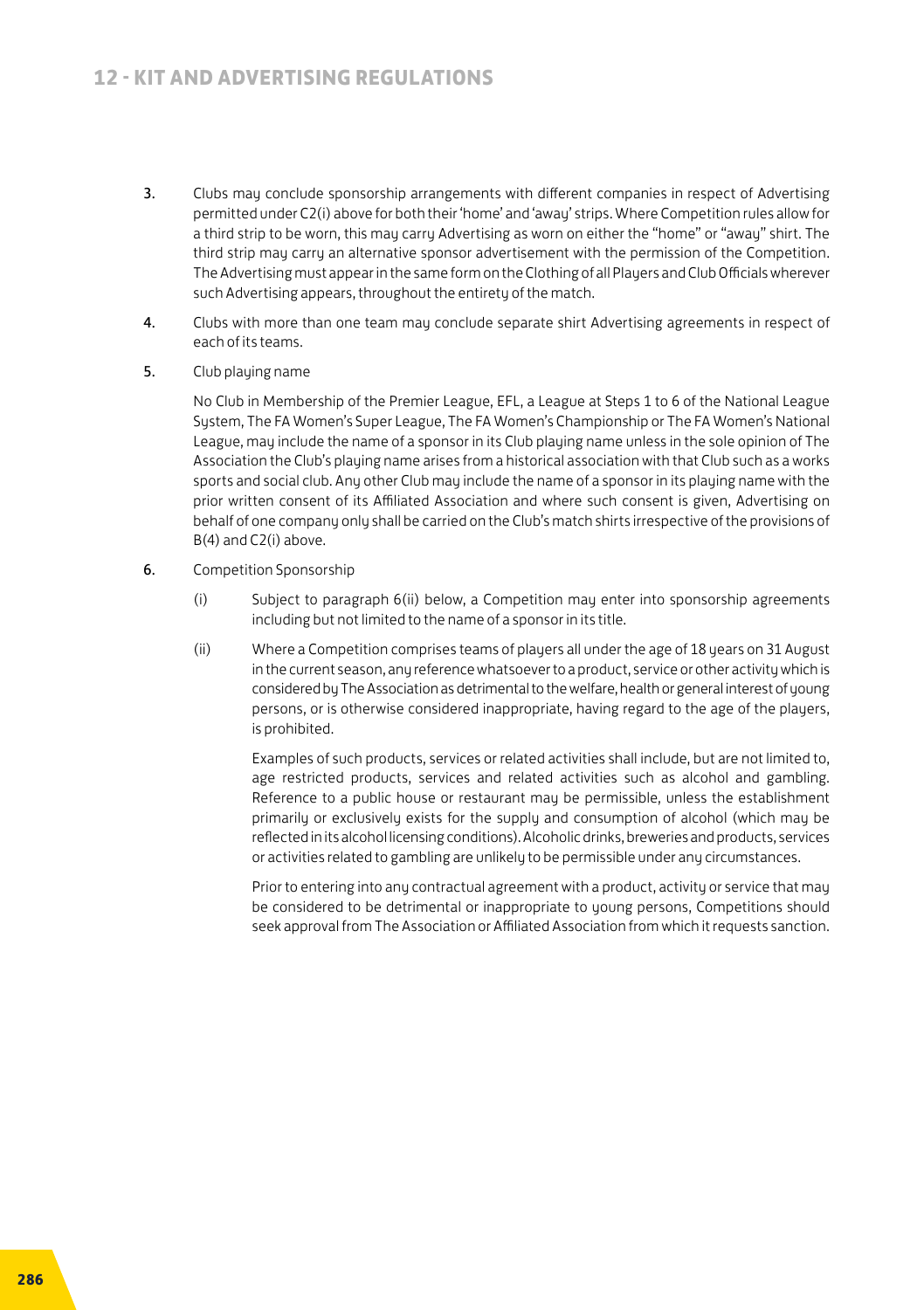- 3. Clubs may conclude sponsorship arrangements with different companies in respect of Advertising permitted under C2(i) above for both their 'home' and 'away' strips. Where Competition rules allow for a third strip to be worn, this may carry Advertising as worn on either the "home" or "away" shirt. The third strip may carry an alternative sponsor advertisement with the permission of the Competition. The Advertising must appear in the same form on the Clothing of all Players and Club Officials wherever such Advertising appears, throughout the entirety of the match.
- 4. Clubs with more than one team may conclude separate shirt Advertising agreements in respect of each of its teams.
- 5. Club playing name

No Club in Membership of the Premier League, EFL, a League at Steps 1 to 6 of the National League System, The FA Women's Super League, The FA Women's Championship or The FA Women's National League, may include the name of a sponsor in its Club playing name unless in the sole opinion of The Association the Club's playing name arises from a historical association with that Club such as a works sports and social club. Any other Club may include the name of a sponsor in its playing name with the prior written consent of its Affiliated Association and where such consent is given, Advertising on behalf of one company only shall be carried on the Club's match shirts irrespective of the provisions of B(4) and C2(i) above.

- 6. Competition Sponsorship
	- (i) Subject to paragraph 6(ii) below, a Competition may enter into sponsorship agreements including but not limited to the name of a sponsor in its title.
	- (ii) Where a Competition comprises teams of players all under the age of 18 years on 31 August in the current season, any reference whatsoever to a product, service or other activity which is considered by The Association as detrimental to the welfare, health or general interest of young persons, or is otherwise considered inappropriate, having regard to the age of the players, is prohibited.

 Examples of such products, services or related activities shall include, but are not limited to, age restricted products, services and related activities such as alcohol and gambling. Reference to a public house or restaurant may be permissible, unless the establishment primarily or exclusively exists for the supply and consumption of alcohol (which may be reflected in its alcohol licensing conditions). Alcoholic drinks, breweries and products, services or activities related to gambling are unlikely to be permissible under any circumstances.

 Prior to entering into any contractual agreement with a product, activity or service that may be considered to be detrimental or inappropriate to young persons, Competitions should seek approval from The Association or Affiliated Association from which it requests sanction.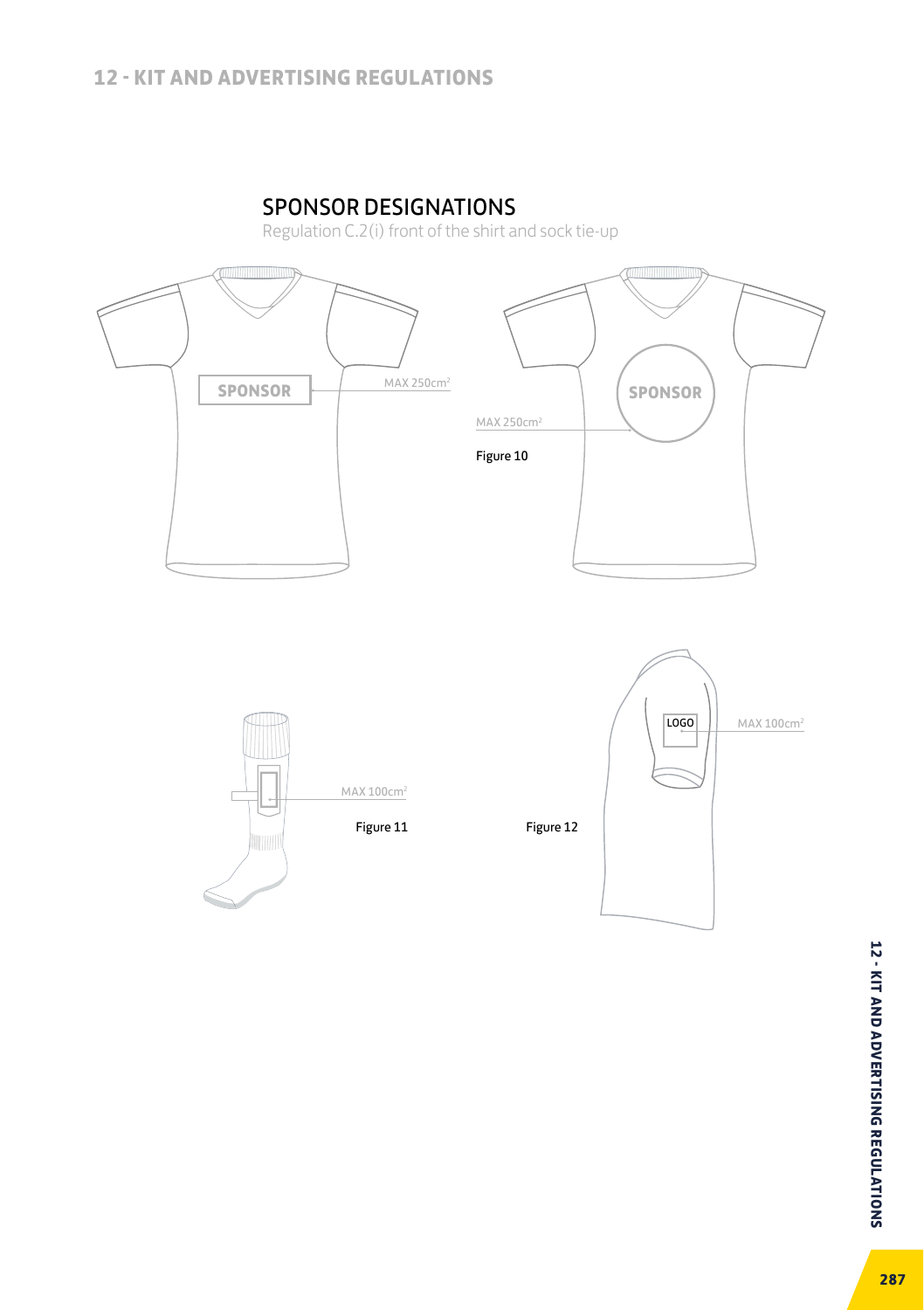# SPONSOR DESIGNATIONS

Regulation C.2(i) front of the shirt and sock tie-up





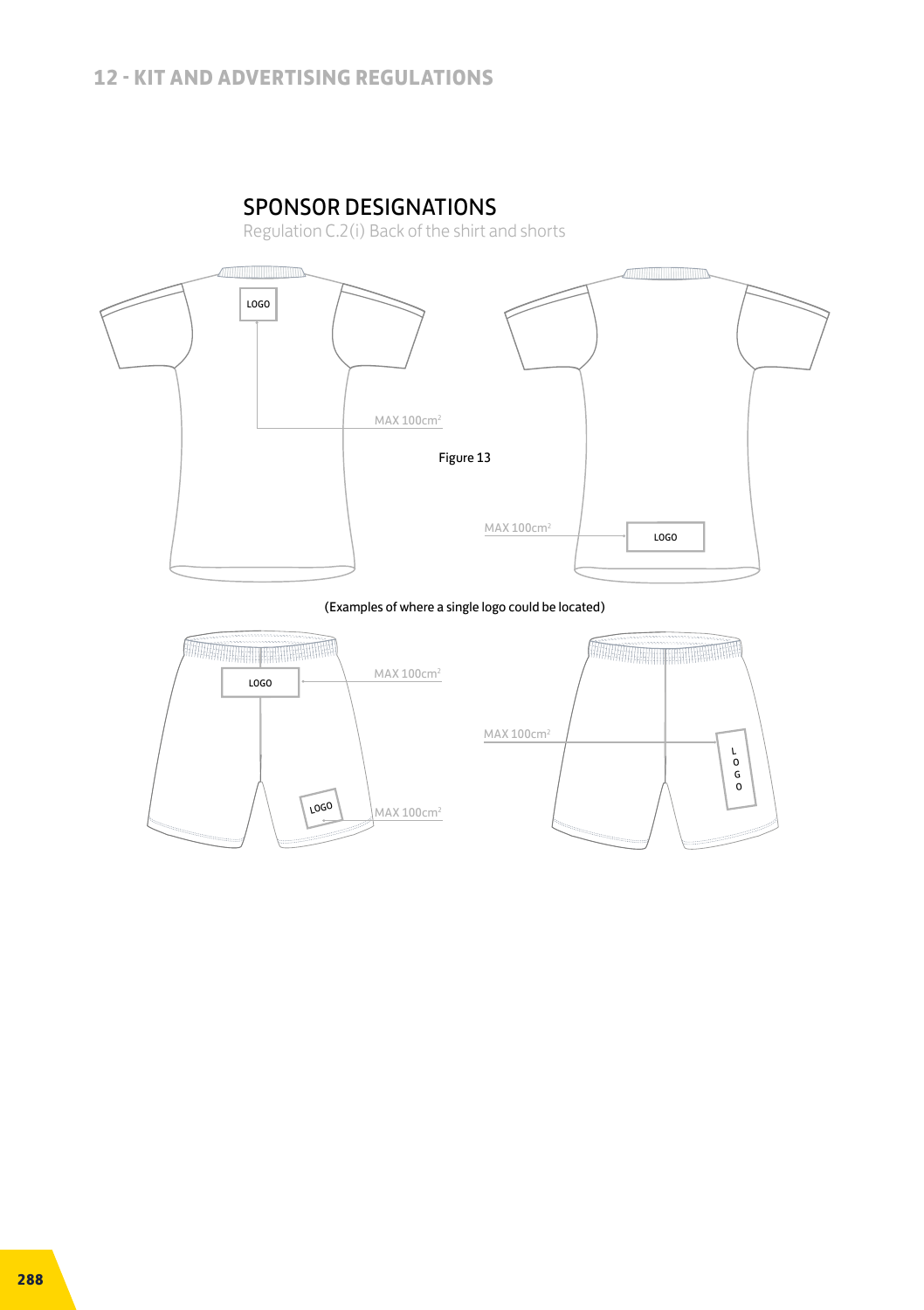# SPONSOR DESIGNATIONS

Regulation C.2(i) Back of the shirt and shorts



(Examples of where a single logo could be located)

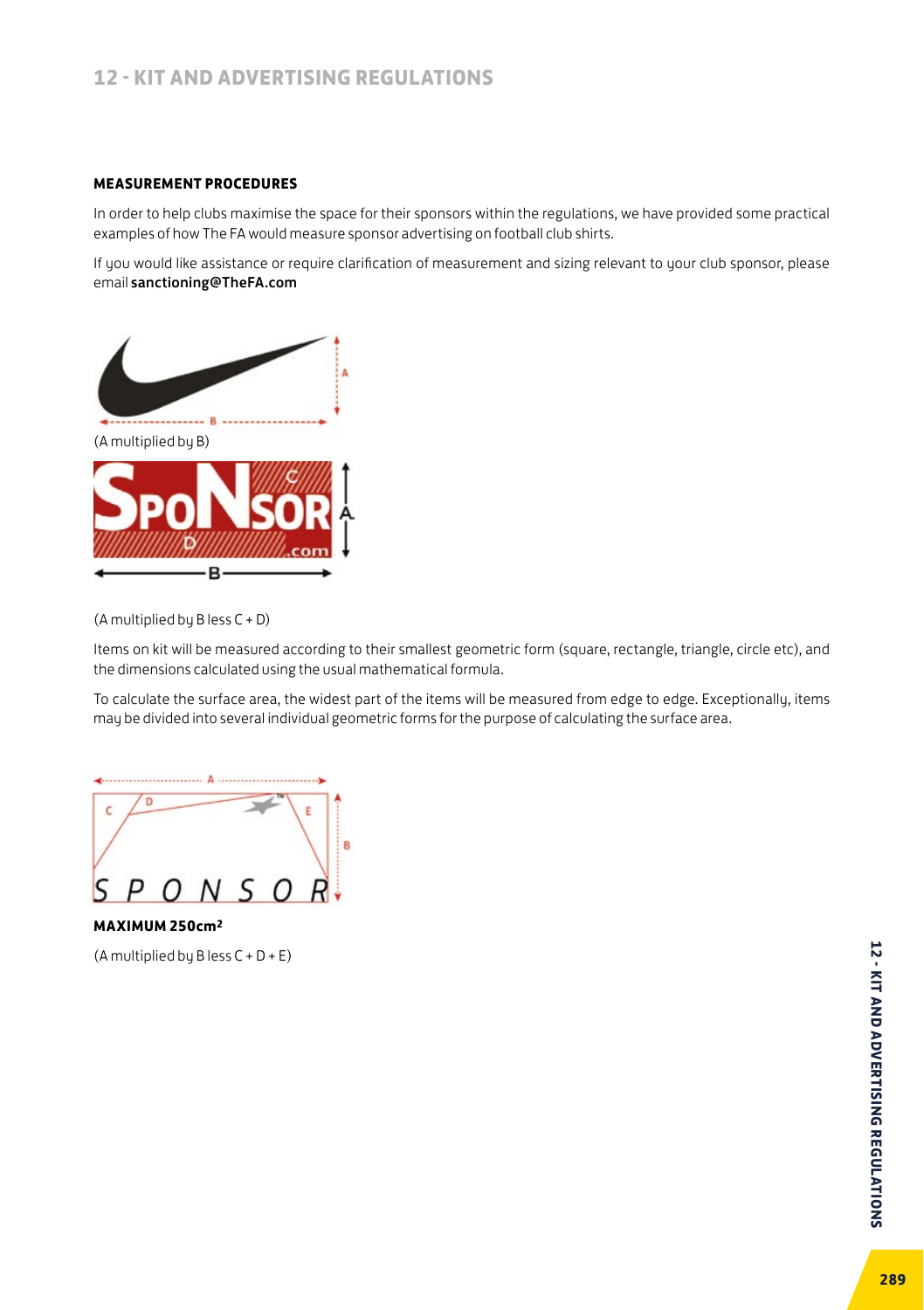#### **MEASUREMENT PROCEDURES**

In order to help clubs maximise the space for their sponsors within the regulations, we have provided some practical examples of how The FA would measure sponsor advertising on football club shirts.

If you would like assistance or require clarification of measurement and sizing relevant to your club sponsor, please email sanctioning@TheFA.com



(A multiplied by B less C + D)

Items on kit will be measured according to their smallest geometric form (square, rectangle, triangle, circle etc), and the dimensions calculated using the usual mathematical formula.

To calculate the surface area, the widest part of the items will be measured from edge to edge. Exceptionally, items may be divided into several individual geometric forms for the purpose of calculating the surface area.



**MAXIMUM 250cm2**

(A multiplied by B less C + D + E)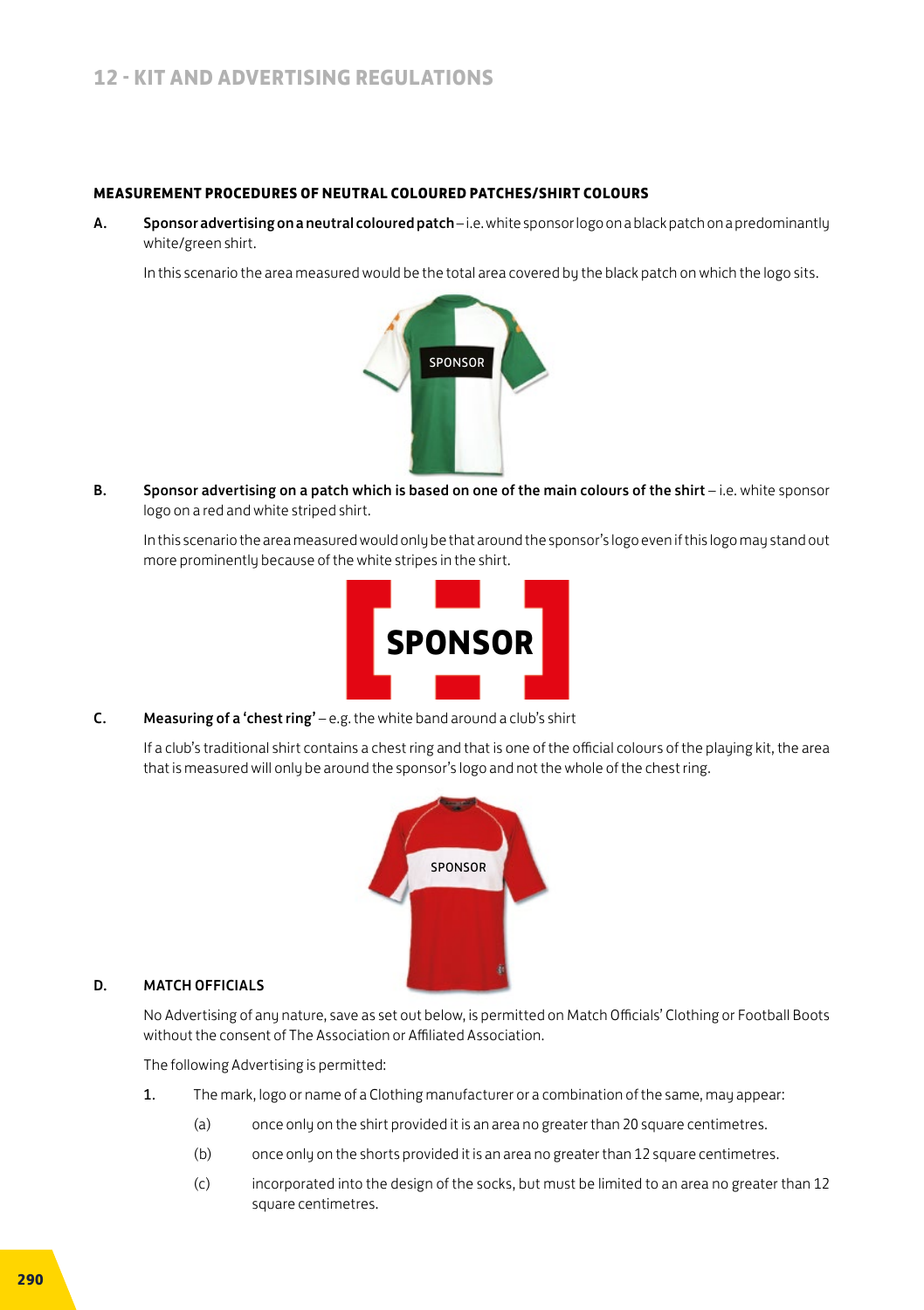#### **MEASUREMENT PROCEDURES OF NEUTRAL COLOURED PATCHES/SHIRT COLOURS**

A. Sponsor advertising on a neutral coloured patch – i.e. white sponsor logo on a black patch on a predominantly white/green shirt.

In this scenario the area measured would be the total area covered by the black patch on which the logo sits.



B. Sponsor advertising on a patch which is based on one of the main colours of the shirt - i.e. white sponsor logo on a red and white striped shirt.

In this scenario the area measured would only be that around the sponsor's logo even if this logo may stand out more prominently because of the white stripes in the shirt.



C. Measuring of a 'chest ring' – e.g. the white band around a club's shirt

If a club's traditional shirt contains a chest ring and that is one of the official colours of the playing kit, the area that is measured will only be around the sponsor's logo and not the whole of the chest ring.



#### D. MATCH OFFICIALS

No Advertising of any nature, save as set out below, is permitted on Match Officials' Clothing or Football Boots without the consent of The Association or Affiliated Association.

The following Advertising is permitted:

- 1. The mark, logo or name of a Clothing manufacturer or a combination of the same, may appear:
	- (a) once only on the shirt provided it is an area no greater than 20 square centimetres.
	- (b) once only on the shorts provided it is an area no greater than 12 square centimetres.
	- (c) incorporated into the design of the socks, but must be limited to an area no greater than 12 square centimetres.